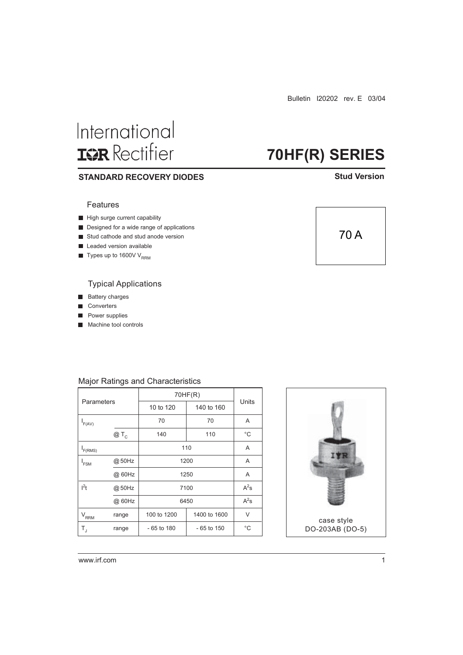Bulletin I20202 rev. E 03/04

**70HF(R) SERIES**

# International **ISR** Rectifier

### **STANDARD RECOVERY DIODES**

#### **Stud Version**

### Features

- $\blacksquare$  High surge current capability
- Designed for a wide range of applications
- Stud cathode and stud anode version
- Leaded version available
- $\blacksquare$  Types up to 1600V V<sub>RRM</sub>

### Typical Applications

- **Battery charges**
- Converters
- Power supplies ٦
- **Machine tool controls**

# Major Ratings and Characteristics

| Parameters                  |        | 70HF(R)                      |              |              |
|-----------------------------|--------|------------------------------|--------------|--------------|
|                             |        | 10 to 120                    | 140 to 160   | Units        |
| $I_{F(AV)}$                 |        | 70                           | 70           | A            |
|                             | $@T_c$ | 140                          | 110          | $^{\circ}$ C |
| F(RMS)                      |        | 110                          | A            |              |
| <sup>I</sup> FSM            | @50Hz  | 1200                         | A            |              |
|                             | @ 60Hz | 1250                         | A            |              |
| l <sup>2</sup> t            | @50Hz  | 7100                         | $A^2$ s      |              |
|                             | @ 60Hz | 6450                         | $A^2s$       |              |
| $\mathsf{V}_{\mathsf{RRM}}$ | range  | 100 to 1200                  | 1400 to 1600 | V            |
| T,                          | range  | $-65$ to 180<br>$-65$ to 150 |              | $^{\circ}$ C |



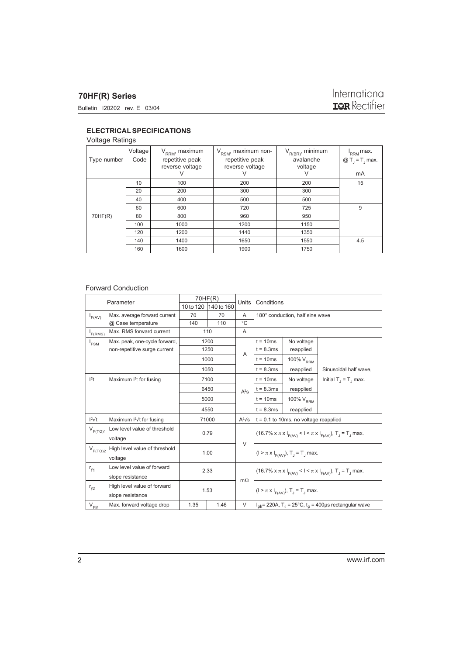# **70HF(R) Series**

## **ELECTRICAL SPECIFICATIONS**

## Voltage Ratings

| Type number | Voltage<br>Code | $V_{RRM}$ , maximum<br>repetitive peak<br>reverse voltage<br>V | $V_{RSM}$ , maximum non-<br>repetitive peak<br>reverse voltage<br>V | $V_{R(BR)}$ , minimum<br>avalanche<br>voltage<br>V | $I_{RRM}$ max.<br>$\textcircled{a}$ T <sub>J</sub> = T <sub>J</sub> max.<br>mA |
|-------------|-----------------|----------------------------------------------------------------|---------------------------------------------------------------------|----------------------------------------------------|--------------------------------------------------------------------------------|
|             | 10              | 100                                                            | 200                                                                 | 200                                                | 15                                                                             |
|             | 20              | 200                                                            | 300                                                                 | 300                                                |                                                                                |
|             | 40              | 400                                                            | 500                                                                 | 500                                                |                                                                                |
|             | 60              | 600                                                            | 720                                                                 | 725                                                | 9                                                                              |
| 70HF(R)     | 80              | 800                                                            | 960                                                                 | 950                                                |                                                                                |
|             | 100             | 1000                                                           | 1200                                                                | 1150                                               |                                                                                |
|             | 120             | 1200                                                           | 1440                                                                | 1350                                               |                                                                                |
|             | 140             | 1400                                                           | 1650                                                                | 1550                                               | 4.5                                                                            |
|             | 160             | 1600                                                           | 1900                                                                | 1750                                               |                                                                                |

#### Forward Conduction

| Parameter                                       |                                                             | 70HF(R)      |            | Units          | Conditions                                                                             |                                                                     |                          |
|-------------------------------------------------|-------------------------------------------------------------|--------------|------------|----------------|----------------------------------------------------------------------------------------|---------------------------------------------------------------------|--------------------------|
|                                                 |                                                             | 10 to 120    | 140 to 160 |                |                                                                                        |                                                                     |                          |
| Max. average forward current<br>$I_{F(AV)}$     |                                                             | 70           | 70         |                | 180° conduction, half sine wave                                                        |                                                                     |                          |
| @ Case temperature                              |                                                             | 140          | 110        | °C             |                                                                                        |                                                                     |                          |
| $I_{F(RMS)}$                                    | Max. RMS forward current                                    |              | 110        | A              |                                                                                        |                                                                     |                          |
| $I_{FSM}$                                       | Max. peak, one-cycle forward,                               | 1200         |            |                | $t = 10ms$                                                                             | No voltage                                                          |                          |
|                                                 | non-repetitive surge current                                | 1250<br>1000 |            | $\overline{A}$ | $t = 8.3ms$                                                                            | reapplied                                                           |                          |
|                                                 |                                                             |              |            |                | $t = 10ms$                                                                             | 100% $\rm V_{RRM}$                                                  |                          |
|                                                 |                                                             |              | 1050       |                | $t = 8.3ms$                                                                            | reapplied                                                           | Sinusoidal half wave,    |
| 1 <sup>2</sup> t                                | Maximum <sup>2</sup> t for fusing                           |              | 7100       |                | $t = 10ms$                                                                             | No voltage                                                          | Initial $T_1 = T_1$ max. |
|                                                 |                                                             | 6450         |            | $A^2S$         | $t = 8.3ms$                                                                            | reapplied                                                           |                          |
|                                                 |                                                             |              | 5000       |                | $t = 10ms$                                                                             | 100% $\rm V_{\rm RRM}$                                              |                          |
|                                                 |                                                             |              | 4550       |                | $t = 8.3ms$                                                                            | reapplied                                                           |                          |
| $l^2\sqrt{t}$                                   | Maximum I <sup>2</sup> √t for fusing                        | 71000        |            | $A^2\sqrt{s}$  | $t = 0.1$ to 10ms, no voltage reapplied                                                |                                                                     |                          |
| $V_{F(TO)1}$                                    | Low level value of threshold<br>voltage                     | 0.79         |            | $\vee$         | (16.7% $x \pi x I_{F(AV)} < I < \pi x I_{F(AV)}$ ), $T_J = T_J$ max.                   |                                                                     |                          |
| $V_{F(TO)2}$                                    | High level value of threshold<br>voltage                    | 1.00         |            |                |                                                                                        | $(1 > \pi \times I_{F(AV)})$ , T <sub>1</sub> = T <sub>1</sub> max. |                          |
| Low level value of forward<br>$r_{f1}$          |                                                             | 2.33         |            |                | (16.7% x $\pi$ x $I_{F(AV)}$ < $I < \pi$ x $I_{F(AV)}$ ), $T_J = T_J$ max.             |                                                                     |                          |
|                                                 | slope resistance                                            |              |            |                |                                                                                        |                                                                     |                          |
|                                                 | High level value of forward<br>$r_{f2}$<br>slope resistance |              | 1.53       |                | $(I > \pi x I_{F(AV)}), T_J = T_J$ max.                                                |                                                                     |                          |
|                                                 |                                                             |              |            |                |                                                                                        |                                                                     |                          |
| $\mathsf{V}_{\mathsf{F}\underline{\mathsf{M}}}$ | Max. forward voltage drop                                   | 1.35<br>1.46 |            | V              | $I_{\text{pk}}$ = 220A, T <sub>J</sub> = 25°C, t <sub>p</sub> = 400µs rectangular wave |                                                                     |                          |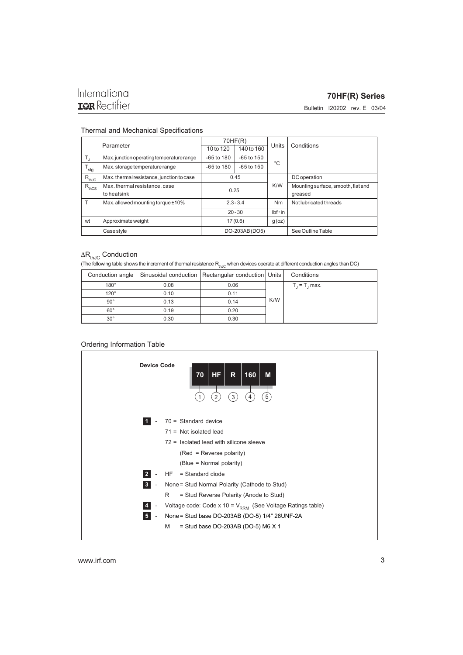#### **70HF(R) Series**

Bulletin I20202 rev. E 03/04

#### Thermal and Mechanical Specifications

| Parameter     |                                           | 70HF(R)        |                |                |                                    |
|---------------|-------------------------------------------|----------------|----------------|----------------|------------------------------------|
|               |                                           | 10 to 120      | 140 to 160     | Units          | Conditions                         |
|               | Max. junction operating temperature range | $-65$ to 180   | $-65$ to $150$ |                |                                    |
| $T_{\sf stg}$ | Max. storage temperature range            | $-65$ to $180$ | $-65$ to $150$ | °C             |                                    |
| $R_{thJC}$    | Max. thermal resistance, junction to case | 0.45           |                |                | DC operation                       |
| $R_{thCS}$    | Max. thermal resistance, case             |                | 0.25           |                | Mounting surface, smooth, flat and |
|               | to heatsink                               |                |                |                | greased                            |
|               | Max. allowed mounting torque $±10\%$      | $2.3 - 3.4$    |                | Nm             | Not lubricated threads             |
|               |                                           | $20 - 30$      |                | $Ibf \cdot in$ |                                    |
| wt            | Approximate weight                        | 17(0.6)        |                | g(oz)          |                                    |
| Case style    |                                           | DO-203AB (DO5) |                |                | See Outline Table                  |

# $\Delta R_{thJC}$  Conduction

(The following table shows the increment of thermal resistence  $R_{th,IC}$  when devices operate at different conduction angles than DC)

|              |      | Conduction angle   Sinusoidal conduction   Rectangular conduction   Units |     | Conditions     |
|--------------|------|---------------------------------------------------------------------------|-----|----------------|
| $180^\circ$  | 0.08 | 0.06                                                                      |     | $T = T$ , max. |
| $120^\circ$  | 0.10 | 0.11                                                                      |     |                |
| $90^{\circ}$ | 0.13 | 0.14                                                                      | K/W |                |
| $60^\circ$   | 0.19 | 0.20                                                                      |     |                |
| $30^{\circ}$ | 0.30 | 0.30                                                                      |     |                |

#### Ordering Information Table